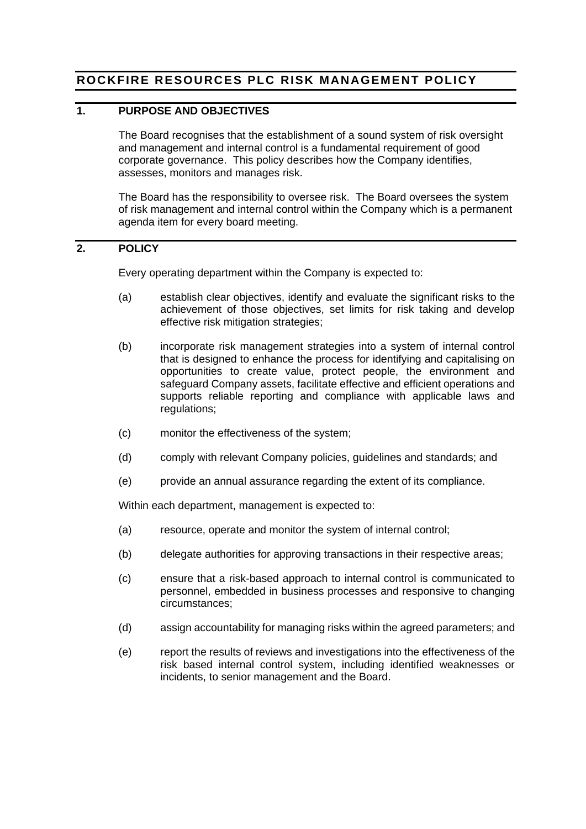# **ROCKFIRE RESOURCES PLC RISK MANAGEMENT POLICY**

#### **1. PURPOSE AND OBJECTIVES**

The Board recognises that the establishment of a sound system of risk oversight and management and internal control is a fundamental requirement of good corporate governance. This policy describes how the Company identifies, assesses, monitors and manages risk.

The Board has the responsibility to oversee risk. The Board oversees the system of risk management and internal control within the Company which is a permanent agenda item for every board meeting.

### **2. POLICY**

Every operating department within the Company is expected to:

- (a) establish clear objectives, identify and evaluate the significant risks to the achievement of those objectives, set limits for risk taking and develop effective risk mitigation strategies;
- (b) incorporate risk management strategies into a system of internal control that is designed to enhance the process for identifying and capitalising on opportunities to create value, protect people, the environment and safeguard Company assets, facilitate effective and efficient operations and supports reliable reporting and compliance with applicable laws and regulations;
- (c) monitor the effectiveness of the system;
- (d) comply with relevant Company policies, guidelines and standards; and
- (e) provide an annual assurance regarding the extent of its compliance.

Within each department, management is expected to:

- (a) resource, operate and monitor the system of internal control;
- (b) delegate authorities for approving transactions in their respective areas;
- (c) ensure that a risk-based approach to internal control is communicated to personnel, embedded in business processes and responsive to changing circumstances;
- (d) assign accountability for managing risks within the agreed parameters; and
- (e) report the results of reviews and investigations into the effectiveness of the risk based internal control system, including identified weaknesses or incidents, to senior management and the Board.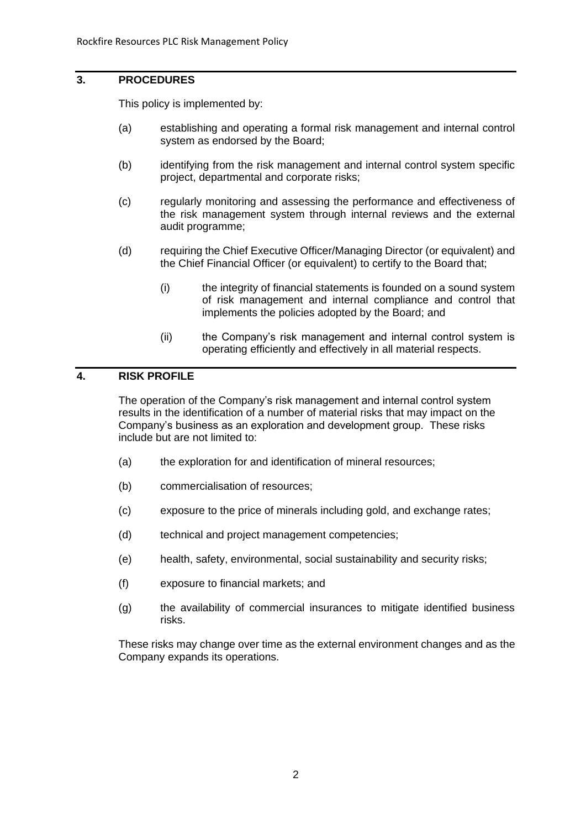#### **3. PROCEDURES**

This policy is implemented by:

- (a) establishing and operating a formal risk management and internal control system as endorsed by the Board;
- (b) identifying from the risk management and internal control system specific project, departmental and corporate risks;
- (c) regularly monitoring and assessing the performance and effectiveness of the risk management system through internal reviews and the external audit programme;
- (d) requiring the Chief Executive Officer/Managing Director (or equivalent) and the Chief Financial Officer (or equivalent) to certify to the Board that;
	- (i) the integrity of financial statements is founded on a sound system of risk management and internal compliance and control that implements the policies adopted by the Board; and
	- (ii) the Company's risk management and internal control system is operating efficiently and effectively in all material respects.

## **4. RISK PROFILE**

The operation of the Company's risk management and internal control system results in the identification of a number of material risks that may impact on the Company's business as an exploration and development group. These risks include but are not limited to:

- (a) the exploration for and identification of mineral resources;
- (b) commercialisation of resources;
- (c) exposure to the price of minerals including gold, and exchange rates;
- (d) technical and project management competencies;
- (e) health, safety, environmental, social sustainability and security risks;
- (f) exposure to financial markets; and
- (g) the availability of commercial insurances to mitigate identified business risks.

These risks may change over time as the external environment changes and as the Company expands its operations.